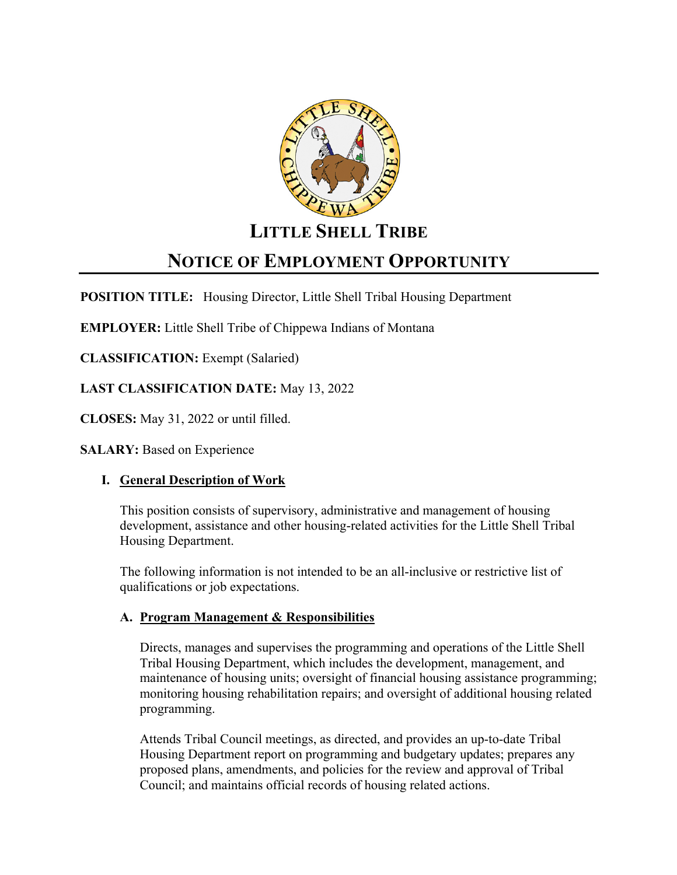

## **LITTLE SHELL TRIBE**

# **NOTICE OF EMPLOYMENT OPPORTUNITY**

**POSITION TITLE:** Housing Director, Little Shell Tribal Housing Department

**EMPLOYER:** Little Shell Tribe of Chippewa Indians of Montana

**CLASSIFICATION:** Exempt (Salaried)

**LAST CLASSIFICATION DATE:** May 13, 2022

**CLOSES:** May 31, 2022 or until filled.

**SALARY: Based on Experience** 

## **I. General Description of Work**

This position consists of supervisory, administrative and management of housing development, assistance and other housing-related activities for the Little Shell Tribal Housing Department.

The following information is not intended to be an all-inclusive or restrictive list of qualifications or job expectations.

## **A. Program Management & Responsibilities**

Directs, manages and supervises the programming and operations of the Little Shell Tribal Housing Department, which includes the development, management, and maintenance of housing units; oversight of financial housing assistance programming; monitoring housing rehabilitation repairs; and oversight of additional housing related programming.

Attends Tribal Council meetings, as directed, and provides an up-to-date Tribal Housing Department report on programming and budgetary updates; prepares any proposed plans, amendments, and policies for the review and approval of Tribal Council; and maintains official records of housing related actions.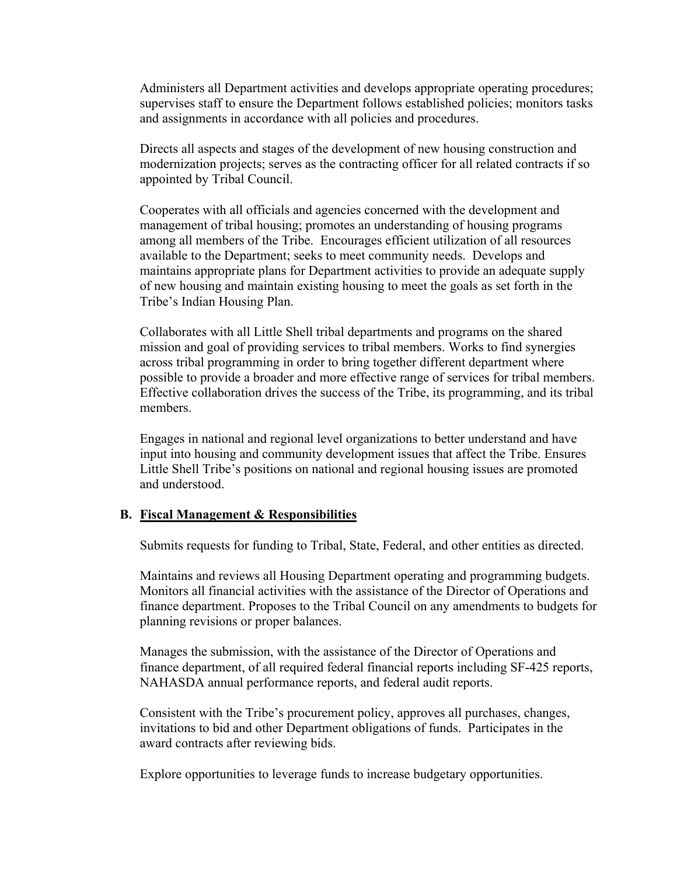Administers all Department activities and develops appropriate operating procedures; supervises staff to ensure the Department follows established policies; monitors tasks and assignments in accordance with all policies and procedures.

Directs all aspects and stages of the development of new housing construction and modernization projects; serves as the contracting officer for all related contracts if so appointed by Tribal Council.

Cooperates with all officials and agencies concerned with the development and management of tribal housing; promotes an understanding of housing programs among all members of the Tribe. Encourages efficient utilization of all resources available to the Department; seeks to meet community needs. Develops and maintains appropriate plans for Department activities to provide an adequate supply of new housing and maintain existing housing to meet the goals as set forth in the Tribe's Indian Housing Plan.

Collaborates with all Little Shell tribal departments and programs on the shared mission and goal of providing services to tribal members. Works to find synergies across tribal programming in order to bring together different department where possible to provide a broader and more effective range of services for tribal members. Effective collaboration drives the success of the Tribe, its programming, and its tribal members.

Engages in national and regional level organizations to better understand and have input into housing and community development issues that affect the Tribe. Ensures Little Shell Tribe's positions on national and regional housing issues are promoted and understood.

#### **B. Fiscal Management & Responsibilities**

Submits requests for funding to Tribal, State, Federal, and other entities as directed.

Maintains and reviews all Housing Department operating and programming budgets. Monitors all financial activities with the assistance of the Director of Operations and finance department. Proposes to the Tribal Council on any amendments to budgets for planning revisions or proper balances.

Manages the submission, with the assistance of the Director of Operations and finance department, of all required federal financial reports including SF-425 reports, NAHASDA annual performance reports, and federal audit reports.

Consistent with the Tribe's procurement policy, approves all purchases, changes, invitations to bid and other Department obligations of funds. Participates in the award contracts after reviewing bids.

Explore opportunities to leverage funds to increase budgetary opportunities.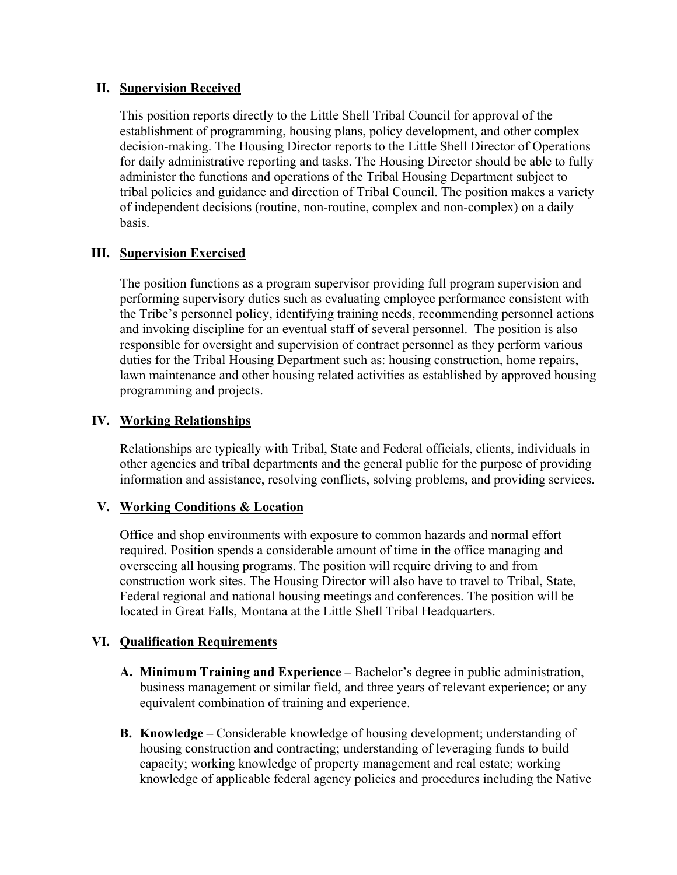#### **II. Supervision Received**

This position reports directly to the Little Shell Tribal Council for approval of the establishment of programming, housing plans, policy development, and other complex decision-making. The Housing Director reports to the Little Shell Director of Operations for daily administrative reporting and tasks. The Housing Director should be able to fully administer the functions and operations of the Tribal Housing Department subject to tribal policies and guidance and direction of Tribal Council. The position makes a variety of independent decisions (routine, non-routine, complex and non-complex) on a daily basis.

### **III. Supervision Exercised**

The position functions as a program supervisor providing full program supervision and performing supervisory duties such as evaluating employee performance consistent with the Tribe's personnel policy, identifying training needs, recommending personnel actions and invoking discipline for an eventual staff of several personnel. The position is also responsible for oversight and supervision of contract personnel as they perform various duties for the Tribal Housing Department such as: housing construction, home repairs, lawn maintenance and other housing related activities as established by approved housing programming and projects.

#### **IV. Working Relationships**

Relationships are typically with Tribal, State and Federal officials, clients, individuals in other agencies and tribal departments and the general public for the purpose of providing information and assistance, resolving conflicts, solving problems, and providing services.

### **V. Working Conditions & Location**

Office and shop environments with exposure to common hazards and normal effort required. Position spends a considerable amount of time in the office managing and overseeing all housing programs. The position will require driving to and from construction work sites. The Housing Director will also have to travel to Tribal, State, Federal regional and national housing meetings and conferences. The position will be located in Great Falls, Montana at the Little Shell Tribal Headquarters.

### **VI. Qualification Requirements**

- **A. Minimum Training and Experience –** Bachelor's degree in public administration, business management or similar field, and three years of relevant experience; or any equivalent combination of training and experience.
- **B. Knowledge –** Considerable knowledge of housing development; understanding of housing construction and contracting; understanding of leveraging funds to build capacity; working knowledge of property management and real estate; working knowledge of applicable federal agency policies and procedures including the Native